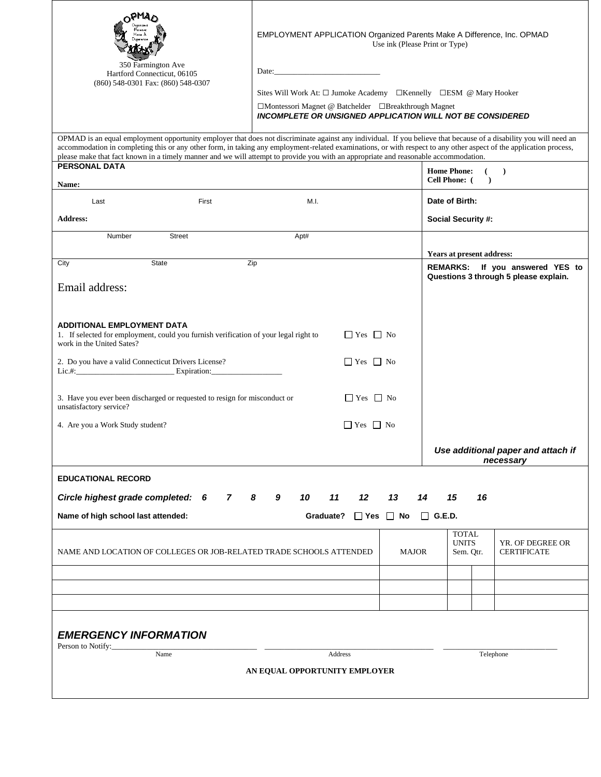|                                                                                                                                                                                                                                                                                                                                                                                                                                                                                | EMPLOYMENT APPLICATION Organized Parents Make A Difference, Inc. OPMAD<br>Use ink (Please Print or Type)                 |      |           |                      |                      |                                                                 |                                                                          |    |                           |  |  |  |  |
|--------------------------------------------------------------------------------------------------------------------------------------------------------------------------------------------------------------------------------------------------------------------------------------------------------------------------------------------------------------------------------------------------------------------------------------------------------------------------------|--------------------------------------------------------------------------------------------------------------------------|------|-----------|----------------------|----------------------|-----------------------------------------------------------------|--------------------------------------------------------------------------|----|---------------------------|--|--|--|--|
| 350 Farmington Ave<br>Hartford Connecticut, 06105                                                                                                                                                                                                                                                                                                                                                                                                                              |                                                                                                                          |      |           |                      |                      |                                                                 |                                                                          |    |                           |  |  |  |  |
| (860) 548-0301 Fax: (860) 548-0307                                                                                                                                                                                                                                                                                                                                                                                                                                             | Sites Will Work At: $\square$ Jumoke Academy $\square$ Kennelly $\square$ ESM @ Mary Hooker                              |      |           |                      |                      |                                                                 |                                                                          |    |                           |  |  |  |  |
|                                                                                                                                                                                                                                                                                                                                                                                                                                                                                | □Montessori Magnet @ Batchelder □Breakthrough Magnet<br><b>INCOMPLETE OR UNSIGNED APPLICATION WILL NOT BE CONSIDERED</b> |      |           |                      |                      |                                                                 |                                                                          |    |                           |  |  |  |  |
|                                                                                                                                                                                                                                                                                                                                                                                                                                                                                |                                                                                                                          |      |           |                      |                      |                                                                 |                                                                          |    |                           |  |  |  |  |
| OPMAD is an equal employment opportunity employer that does not discriminate against any individual. If you believe that because of a disability you will need an<br>accommodation in completing this or any other form, in taking any employment-related examinations, or with respect to any other aspect of the application process,<br>please make that fact known in a timely manner and we will attempt to provide you with an appropriate and reasonable accommodation. |                                                                                                                          |      |           |                      |                      |                                                                 |                                                                          |    |                           |  |  |  |  |
| <b>PERSONAL DATA</b>                                                                                                                                                                                                                                                                                                                                                                                                                                                           |                                                                                                                          |      |           |                      |                      |                                                                 | <b>Home Phone:</b><br>(<br><b>Cell Phone:</b> (<br>$\mathcal{L}$         |    |                           |  |  |  |  |
| <b>Name:</b><br>Last<br>First                                                                                                                                                                                                                                                                                                                                                                                                                                                  | M.I.                                                                                                                     |      |           |                      |                      | Date of Birth:                                                  |                                                                          |    |                           |  |  |  |  |
| <b>Address:</b>                                                                                                                                                                                                                                                                                                                                                                                                                                                                |                                                                                                                          |      |           |                      |                      | Social Security #:                                              |                                                                          |    |                           |  |  |  |  |
| <b>Street</b><br>Number                                                                                                                                                                                                                                                                                                                                                                                                                                                        |                                                                                                                          | Apt# |           |                      |                      |                                                                 |                                                                          |    |                           |  |  |  |  |
|                                                                                                                                                                                                                                                                                                                                                                                                                                                                                |                                                                                                                          |      |           |                      |                      |                                                                 |                                                                          |    | Years at present address: |  |  |  |  |
| State<br>City                                                                                                                                                                                                                                                                                                                                                                                                                                                                  | Zip                                                                                                                      |      |           |                      |                      |                                                                 | REMARKS: If you answered YES to<br>Questions 3 through 5 please explain. |    |                           |  |  |  |  |
| Email address:                                                                                                                                                                                                                                                                                                                                                                                                                                                                 |                                                                                                                          |      |           |                      |                      |                                                                 |                                                                          |    |                           |  |  |  |  |
|                                                                                                                                                                                                                                                                                                                                                                                                                                                                                |                                                                                                                          |      |           |                      |                      |                                                                 |                                                                          |    |                           |  |  |  |  |
| <b>ADDITIONAL EMPLOYMENT DATA</b><br>1. If selected for employment, could you furnish verification of your legal right to<br>$\Box$ Yes $\Box$ No<br>work in the United Sates?                                                                                                                                                                                                                                                                                                 |                                                                                                                          |      |           |                      |                      |                                                                 |                                                                          |    |                           |  |  |  |  |
| $\Box$ Yes $\Box$ No<br>2. Do you have a valid Connecticut Drivers License?                                                                                                                                                                                                                                                                                                                                                                                                    |                                                                                                                          |      |           |                      |                      |                                                                 |                                                                          |    |                           |  |  |  |  |
| Lic.#: $\frac{1}{2}$ Expiration:                                                                                                                                                                                                                                                                                                                                                                                                                                               |                                                                                                                          |      |           |                      |                      |                                                                 |                                                                          |    |                           |  |  |  |  |
| 3. Have you ever been discharged or requested to resign for misconduct or<br>$\Box$ Yes $\Box$ No<br>unsatisfactory service?                                                                                                                                                                                                                                                                                                                                                   |                                                                                                                          |      |           |                      |                      |                                                                 |                                                                          |    |                           |  |  |  |  |
| 4. Are you a Work Study student?                                                                                                                                                                                                                                                                                                                                                                                                                                               |                                                                                                                          |      |           | $\Box$ Yes $\Box$ No |                      |                                                                 |                                                                          |    |                           |  |  |  |  |
|                                                                                                                                                                                                                                                                                                                                                                                                                                                                                |                                                                                                                          |      |           |                      |                      |                                                                 | Use additional paper and attach if<br>necessary                          |    |                           |  |  |  |  |
| <b>EDUCATIONAL RECORD</b>                                                                                                                                                                                                                                                                                                                                                                                                                                                      |                                                                                                                          |      |           |                      |                      |                                                                 |                                                                          |    |                           |  |  |  |  |
| Circle highest grade completed: 6<br>7                                                                                                                                                                                                                                                                                                                                                                                                                                         | - 8<br>9                                                                                                                 | 10   | 11        | 12                   | 13                   | 14                                                              |                                                                          | 15 | 16                        |  |  |  |  |
| Name of high school last attended:                                                                                                                                                                                                                                                                                                                                                                                                                                             |                                                                                                                          |      | Graduate? |                      | $\Box$ Yes $\Box$ No |                                                                 | $\Box$ G.E.D.                                                            |    |                           |  |  |  |  |
| NAME AND LOCATION OF COLLEGES OR JOB-RELATED TRADE SCHOOLS ATTENDED                                                                                                                                                                                                                                                                                                                                                                                                            |                                                                                                                          |      |           |                      | <b>MAJOR</b>         | <b>TOTAL</b><br><b>UNITS</b><br><b>CERTIFICATE</b><br>Sem. Qtr. |                                                                          |    | YR. OF DEGREE OR          |  |  |  |  |
|                                                                                                                                                                                                                                                                                                                                                                                                                                                                                |                                                                                                                          |      |           |                      |                      |                                                                 |                                                                          |    |                           |  |  |  |  |
|                                                                                                                                                                                                                                                                                                                                                                                                                                                                                |                                                                                                                          |      |           |                      |                      |                                                                 |                                                                          |    |                           |  |  |  |  |
|                                                                                                                                                                                                                                                                                                                                                                                                                                                                                |                                                                                                                          |      |           |                      |                      |                                                                 |                                                                          |    |                           |  |  |  |  |
| <b>EMERGENCY INFORMATION</b>                                                                                                                                                                                                                                                                                                                                                                                                                                                   |                                                                                                                          |      |           |                      |                      |                                                                 |                                                                          |    |                           |  |  |  |  |
| Person to Notify:<br>Name<br>Address<br>Telephone                                                                                                                                                                                                                                                                                                                                                                                                                              |                                                                                                                          |      |           |                      |                      |                                                                 |                                                                          |    |                           |  |  |  |  |
| AN EQUAL OPPORTUNITY EMPLOYER                                                                                                                                                                                                                                                                                                                                                                                                                                                  |                                                                                                                          |      |           |                      |                      |                                                                 |                                                                          |    |                           |  |  |  |  |
|                                                                                                                                                                                                                                                                                                                                                                                                                                                                                |                                                                                                                          |      |           |                      |                      |                                                                 |                                                                          |    |                           |  |  |  |  |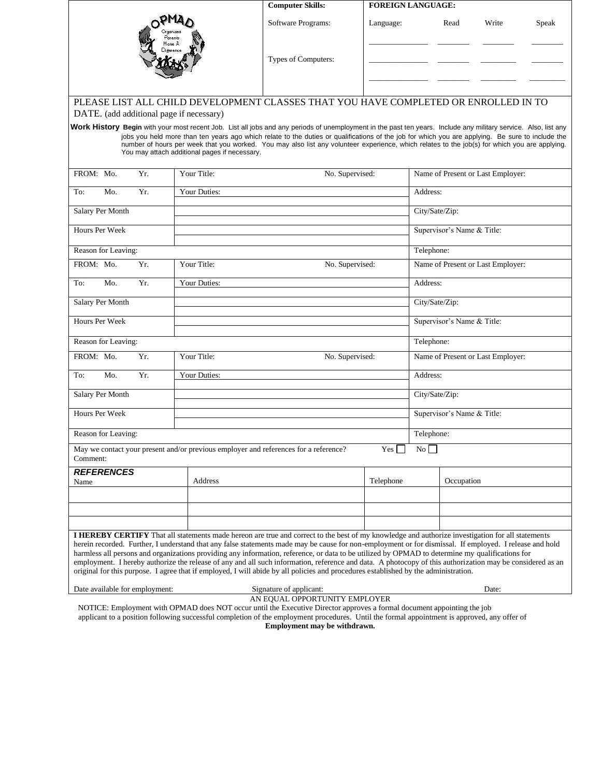|                                |     |                                                                                           | <b>Computer Skills:</b>                                                                                                                                                                                                                                                                                                                                                                                                                                                                                                                                                                                                                                                                                                                                            | <b>FOREIGN LANGUAGE:</b>          |                  |                                   |       |       |  |  |  |  |
|--------------------------------|-----|-------------------------------------------------------------------------------------------|--------------------------------------------------------------------------------------------------------------------------------------------------------------------------------------------------------------------------------------------------------------------------------------------------------------------------------------------------------------------------------------------------------------------------------------------------------------------------------------------------------------------------------------------------------------------------------------------------------------------------------------------------------------------------------------------------------------------------------------------------------------------|-----------------------------------|------------------|-----------------------------------|-------|-------|--|--|--|--|
|                                |     |                                                                                           | Software Programs:                                                                                                                                                                                                                                                                                                                                                                                                                                                                                                                                                                                                                                                                                                                                                 | Language:                         |                  | Read                              | Write | Speak |  |  |  |  |
| Parents                        |     | Types of Computers:                                                                       |                                                                                                                                                                                                                                                                                                                                                                                                                                                                                                                                                                                                                                                                                                                                                                    |                                   |                  |                                   |       |       |  |  |  |  |
|                                |     | DATE. (add additional page if necessary)<br>You may attach additional pages if necessary. | PLEASE LIST ALL CHILD DEVELOPMENT CLASSES THAT YOU HAVE COMPLETED OR ENROLLED IN TO<br>Work History Begin with your most recent Job. List all jobs and any periods of unemployment in the past ten years. Include any military service. Also, list any<br>jobs you held more than ten years ago which relate to the duties or qualifications of the job for which you are applying. Be sure to include the<br>number of hours per week that you worked. You may also list any volunteer experience, which relates to the job(s) for which you are applying.                                                                                                                                                                                                        |                                   |                  |                                   |       |       |  |  |  |  |
| FROM: Mo.                      | Yr. | Your Title:                                                                               | No. Supervised:                                                                                                                                                                                                                                                                                                                                                                                                                                                                                                                                                                                                                                                                                                                                                    | Name of Present or Last Employer: |                  |                                   |       |       |  |  |  |  |
| To:<br>Mo.                     | Yr. | <b>Your Duties:</b>                                                                       |                                                                                                                                                                                                                                                                                                                                                                                                                                                                                                                                                                                                                                                                                                                                                                    | Address:                          |                  |                                   |       |       |  |  |  |  |
| Salary Per Month               |     |                                                                                           |                                                                                                                                                                                                                                                                                                                                                                                                                                                                                                                                                                                                                                                                                                                                                                    |                                   | City/Sate/Zip:   |                                   |       |       |  |  |  |  |
| Hours Per Week                 |     |                                                                                           |                                                                                                                                                                                                                                                                                                                                                                                                                                                                                                                                                                                                                                                                                                                                                                    |                                   |                  | Supervisor's Name & Title:        |       |       |  |  |  |  |
| Reason for Leaving:            |     |                                                                                           |                                                                                                                                                                                                                                                                                                                                                                                                                                                                                                                                                                                                                                                                                                                                                                    |                                   | Telephone:       |                                   |       |       |  |  |  |  |
| FROM: Mo.                      | Yr. | Your Title:                                                                               | No. Supervised:                                                                                                                                                                                                                                                                                                                                                                                                                                                                                                                                                                                                                                                                                                                                                    | Name of Present or Last Employer: |                  |                                   |       |       |  |  |  |  |
| Mo.<br>To:                     | Yr. | Your Duties:                                                                              | Address:                                                                                                                                                                                                                                                                                                                                                                                                                                                                                                                                                                                                                                                                                                                                                           |                                   |                  |                                   |       |       |  |  |  |  |
| Salary Per Month               |     |                                                                                           |                                                                                                                                                                                                                                                                                                                                                                                                                                                                                                                                                                                                                                                                                                                                                                    |                                   | City/Sate/Zip:   |                                   |       |       |  |  |  |  |
| Hours Per Week                 |     |                                                                                           |                                                                                                                                                                                                                                                                                                                                                                                                                                                                                                                                                                                                                                                                                                                                                                    |                                   |                  | Supervisor's Name & Title:        |       |       |  |  |  |  |
| Reason for Leaving:            |     |                                                                                           |                                                                                                                                                                                                                                                                                                                                                                                                                                                                                                                                                                                                                                                                                                                                                                    |                                   | Telephone:       |                                   |       |       |  |  |  |  |
| FROM: Mo.                      | Yr. | Your Title:<br>No. Supervised:                                                            |                                                                                                                                                                                                                                                                                                                                                                                                                                                                                                                                                                                                                                                                                                                                                                    |                                   |                  | Name of Present or Last Employer: |       |       |  |  |  |  |
| To:<br>Mo.                     | Yr. | Your Duties:                                                                              |                                                                                                                                                                                                                                                                                                                                                                                                                                                                                                                                                                                                                                                                                                                                                                    | Address:                          |                  |                                   |       |       |  |  |  |  |
| Salary Per Month               |     |                                                                                           |                                                                                                                                                                                                                                                                                                                                                                                                                                                                                                                                                                                                                                                                                                                                                                    | City/Sate/Zip:                    |                  |                                   |       |       |  |  |  |  |
| Hours Per Week                 |     |                                                                                           |                                                                                                                                                                                                                                                                                                                                                                                                                                                                                                                                                                                                                                                                                                                                                                    |                                   |                  | Supervisor's Name & Title:        |       |       |  |  |  |  |
| Reason for Leaving:            |     |                                                                                           |                                                                                                                                                                                                                                                                                                                                                                                                                                                                                                                                                                                                                                                                                                                                                                    |                                   |                  | Telephone:                        |       |       |  |  |  |  |
| Comment:                       |     |                                                                                           | May we contact your present and/or previous employer and references for a reference?                                                                                                                                                                                                                                                                                                                                                                                                                                                                                                                                                                                                                                                                               | Yes                               | $\overline{N_0}$ |                                   |       |       |  |  |  |  |
| <b>REFERENCES</b>              |     |                                                                                           |                                                                                                                                                                                                                                                                                                                                                                                                                                                                                                                                                                                                                                                                                                                                                                    |                                   |                  |                                   |       |       |  |  |  |  |
| Name                           |     | Address                                                                                   |                                                                                                                                                                                                                                                                                                                                                                                                                                                                                                                                                                                                                                                                                                                                                                    | Telephone                         |                  | Occupation                        |       |       |  |  |  |  |
|                                |     |                                                                                           |                                                                                                                                                                                                                                                                                                                                                                                                                                                                                                                                                                                                                                                                                                                                                                    |                                   |                  |                                   |       |       |  |  |  |  |
|                                |     |                                                                                           |                                                                                                                                                                                                                                                                                                                                                                                                                                                                                                                                                                                                                                                                                                                                                                    |                                   |                  |                                   |       |       |  |  |  |  |
|                                |     |                                                                                           | I HEREBY CERTIFY That all statements made hereon are true and correct to the best of my knowledge and authorize investigation for all statements<br>herein recorded. Further, I understand that any false statements made may be cause for non-employment or for dismissal. If employed. I release and hold<br>harmless all persons and organizations providing any information, reference, or data to be utilized by OPMAD to determine my qualifications for<br>employment. I hereby authorize the release of any and all such information, reference and data. A photocopy of this authorization may be considered as an<br>original for this purpose. I agree that if employed, I will abide by all policies and procedures established by the administration. |                                   |                  |                                   |       |       |  |  |  |  |
| Date available for employment: |     |                                                                                           | Signature of applicant:                                                                                                                                                                                                                                                                                                                                                                                                                                                                                                                                                                                                                                                                                                                                            |                                   |                  |                                   | Date: |       |  |  |  |  |
|                                |     |                                                                                           | AN EQUAL OPPORTUNITY EMPLOYER                                                                                                                                                                                                                                                                                                                                                                                                                                                                                                                                                                                                                                                                                                                                      |                                   |                  |                                   |       |       |  |  |  |  |

NOTICE: Employment with OPMAD does NOT occur until the Executive Director approves a formal document appointing the job applicant to a position following successful completion of the employment procedures. Until the formal appointment is approved, any offer of **Employment may be withdrawn.**